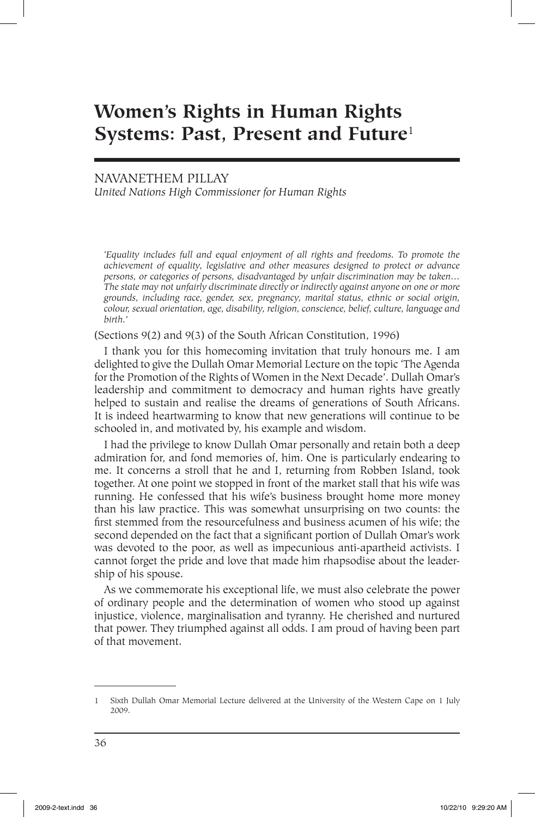# **Women's Rights in Human Rights Systems: Past, Present and Future**<sup>1</sup>

# NAVANETHEM PILLAY *United Nations High Commissioner for Human Rights*

*'Equality includes full and equal enjoyment of all rights and freedoms. To promote the achievement of equality, legislative and other measures designed to protect or advance persons, or categories of persons, disadvantaged by unfair discrimination may be taken… The state may not unfairly discriminate directly or indirectly against anyone on one or more grounds, including race, gender, sex, pregnancy, marital status, ethnic or social origin, colour, sexual orientation, age, disability, religion, conscience, belief, culture, language and birth.'*

(Sections 9(2) and 9(3) of the South African Constitution, 1996)

I thank you for this homecoming invitation that truly honours me. I am delighted to give the Dullah Omar Memorial Lecture on the topic 'The Agenda for the Promotion of the Rights of Women in the Next Decade'. Dullah Omar's leadership and commitment to democracy and human rights have greatly helped to sustain and realise the dreams of generations of South Africans. It is indeed heartwarming to know that new generations will continue to be schooled in, and motivated by, his example and wisdom.

I had the privilege to know Dullah Omar personally and retain both a deep admiration for, and fond memories of, him. One is particularly endearing to me. It concerns a stroll that he and I, returning from Robben Island, took together. At one point we stopped in front of the market stall that his wife was running. He confessed that his wife's business brought home more money than his law practice. This was somewhat unsurprising on two counts: the first stemmed from the resourcefulness and business acumen of his wife; the second depended on the fact that a significant portion of Dullah Omar's work was devoted to the poor, as well as impecunious anti-apartheid activists. I cannot forget the pride and love that made him rhapsodise about the leadership of his spouse.

As we commemorate his exceptional life, we must also celebrate the power of ordinary people and the determination of women who stood up against injustice, violence, marginalisation and tyranny. He cherished and nurtured that power. They triumphed against all odds. I am proud of having been part of that movement.

<sup>1</sup> Sixth Dullah Omar Memorial Lecture delivered at the University of the Western Cape on 1 July 2009.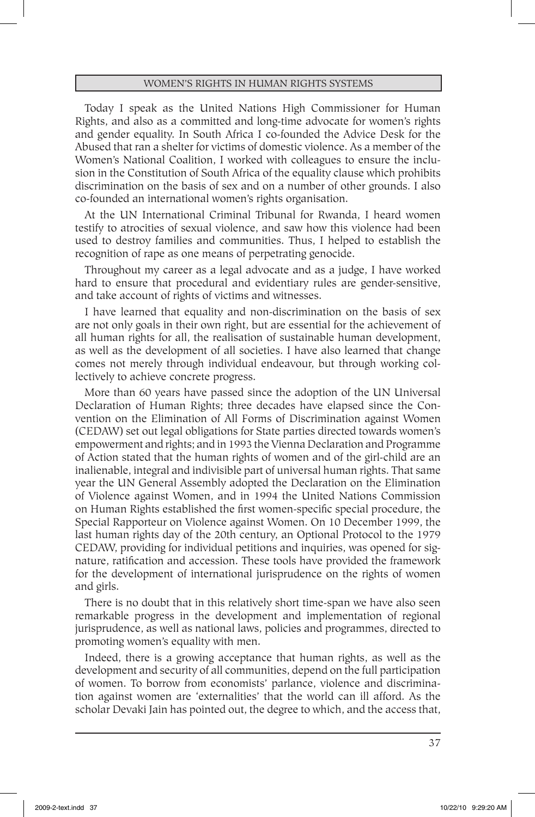Today I speak as the United Nations High Commissioner for Human Rights, and also as a committed and long-time advocate for women's rights and gender equality. In South Africa I co-founded the Advice Desk for the Abused that ran a shelter for victims of domestic violence. As a member of the Women's National Coalition, I worked with colleagues to ensure the inclusion in the Constitution of South Africa of the equality clause which prohibits discrimination on the basis of sex and on a number of other grounds. I also co-founded an international women's rights organisation.

At the UN International Criminal Tribunal for Rwanda, I heard women testify to atrocities of sexual violence, and saw how this violence had been used to destroy families and communities. Thus, I helped to establish the recognition of rape as one means of perpetrating genocide.

Throughout my career as a legal advocate and as a judge, I have worked hard to ensure that procedural and evidentiary rules are gender-sensitive, and take account of rights of victims and witnesses.

I have learned that equality and non-discrimination on the basis of sex are not only goals in their own right, but are essential for the achievement of all human rights for all, the realisation of sustainable human development, as well as the development of all societies. I have also learned that change comes not merely through individual endeavour, but through working collectively to achieve concrete progress.

More than 60 years have passed since the adoption of the UN Universal Declaration of Human Rights; three decades have elapsed since the Convention on the Elimination of All Forms of Discrimination against Women (CEDAW) set out legal obligations for State parties directed towards women's empowerment and rights; and in 1993 the Vienna Declaration and Programme of Action stated that the human rights of women and of the girl-child are an inalienable, integral and indivisible part of universal human rights. That same year the UN General Assembly adopted the Declaration on the Elimination of Violence against Women, and in 1994 the United Nations Commission on Human Rights established the first women-specific special procedure, the Special Rapporteur on Violence against Women. On 10 December 1999, the last human rights day of the 20th century, an Optional Protocol to the 1979 CEDAW, providing for individual petitions and inquiries, was opened for signature, ratification and accession. These tools have provided the framework for the development of international jurisprudence on the rights of women and girls.

There is no doubt that in this relatively short time-span we have also seen remarkable progress in the development and implementation of regional jurisprudence, as well as national laws, policies and programmes, directed to promoting women's equality with men.

Indeed, there is a growing acceptance that human rights, as well as the development and security of all communities, depend on the full participation of women. To borrow from economists' parlance, violence and discrimination against women are 'externalities' that the world can ill afford. As the scholar Devaki Jain has pointed out, the degree to which, and the access that,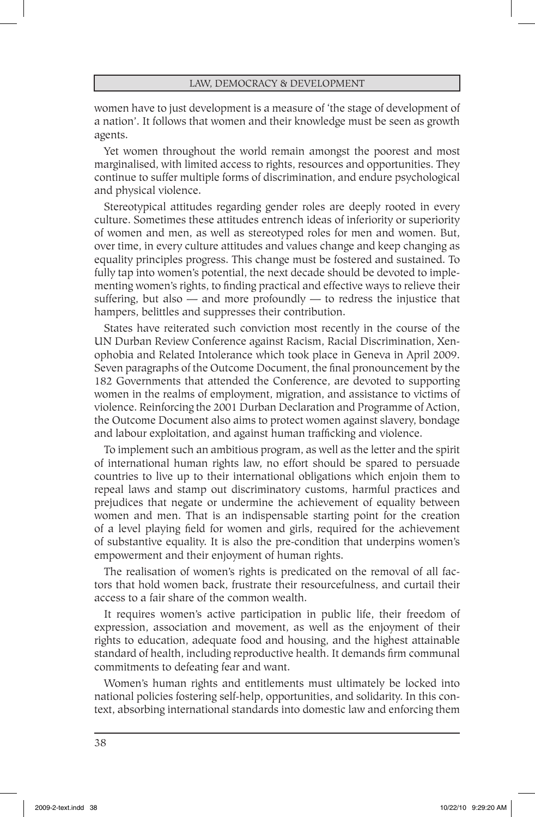women have to just development is a measure of 'the stage of development of a nation'. It follows that women and their knowledge must be seen as growth agents.

Yet women throughout the world remain amongst the poorest and most marginalised, with limited access to rights, resources and opportunities. They continue to suffer multiple forms of discrimination, and endure psychological and physical violence.

Stereotypical attitudes regarding gender roles are deeply rooted in every culture. Sometimes these attitudes entrench ideas of inferiority or superiority of women and men, as well as stereotyped roles for men and women. But, over time, in every culture attitudes and values change and keep changing as equality principles progress. This change must be fostered and sustained. To fully tap into women's potential, the next decade should be devoted to implementing women's rights, to finding practical and effective ways to relieve their suffering, but also  $-$  and more profoundly  $-$  to redress the injustice that hampers, belittles and suppresses their contribution.

States have reiterated such conviction most recently in the course of the UN Durban Review Conference against Racism, Racial Discrimination, Xenophobia and Related Intolerance which took place in Geneva in April 2009. Seven paragraphs of the Outcome Document, the final pronouncement by the 182 Governments that attended the Conference, are devoted to supporting women in the realms of employment, migration, and assistance to victims of violence. Reinforcing the 2001 Durban Declaration and Programme of Action, the Outcome Document also aims to protect women against slavery, bondage and labour exploitation, and against human trafficking and violence.

To implement such an ambitious program, as well as the letter and the spirit of international human rights law, no effort should be spared to persuade countries to live up to their international obligations which enjoin them to repeal laws and stamp out discriminatory customs, harmful practices and prejudices that negate or undermine the achievement of equality between women and men. That is an indispensable starting point for the creation of a level playing field for women and girls, required for the achievement of substantive equality. It is also the pre-condition that underpins women's empowerment and their enjoyment of human rights.

The realisation of women's rights is predicated on the removal of all factors that hold women back, frustrate their resourcefulness, and curtail their access to a fair share of the common wealth.

It requires women's active participation in public life, their freedom of expression, association and movement, as well as the enjoyment of their rights to education, adequate food and housing, and the highest attainable standard of health, including reproductive health. It demands firm communal commitments to defeating fear and want.

Women's human rights and entitlements must ultimately be locked into national policies fostering self-help, opportunities, and solidarity. In this context, absorbing international standards into domestic law and enforcing them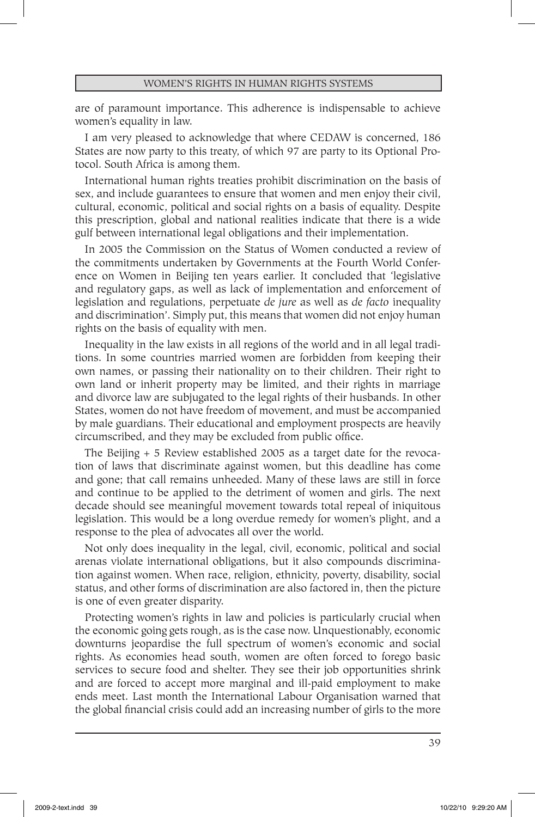are of paramount importance. This adherence is indispensable to achieve women's equality in law.

I am very pleased to acknowledge that where CEDAW is concerned, 186 States are now party to this treaty, of which 97 are party to its Optional Protocol. South Africa is among them.

International human rights treaties prohibit discrimination on the basis of sex, and include guarantees to ensure that women and men enjoy their civil, cultural, economic, political and social rights on a basis of equality. Despite this prescription, global and national realities indicate that there is a wide gulf between international legal obligations and their implementation.

In 2005 the Commission on the Status of Women conducted a review of the commitments undertaken by Governments at the Fourth World Conference on Women in Beijing ten years earlier. It concluded that 'legislative and regulatory gaps, as well as lack of implementation and enforcement of legislation and regulations, perpetuate *de jure* as well as *de facto* inequality and discrimination'. Simply put, this means that women did not enjoy human rights on the basis of equality with men.

Inequality in the law exists in all regions of the world and in all legal traditions. In some countries married women are forbidden from keeping their own names, or passing their nationality on to their children. Their right to own land or inherit property may be limited, and their rights in marriage and divorce law are subjugated to the legal rights of their husbands. In other States, women do not have freedom of movement, and must be accompanied by male guardians. Their educational and employment prospects are heavily circumscribed, and they may be excluded from public office.

The Beijing + 5 Review established 2005 as a target date for the revocation of laws that discriminate against women, but this deadline has come and gone; that call remains unheeded. Many of these laws are still in force and continue to be applied to the detriment of women and girls. The next decade should see meaningful movement towards total repeal of iniquitous legislation. This would be a long overdue remedy for women's plight, and a response to the plea of advocates all over the world.

Not only does inequality in the legal, civil, economic, political and social arenas violate international obligations, but it also compounds discrimination against women. When race, religion, ethnicity, poverty, disability, social status, and other forms of discrimination are also factored in, then the picture is one of even greater disparity.

Protecting women's rights in law and policies is particularly crucial when the economic going gets rough, as is the case now. Unquestionably, economic downturns jeopardise the full spectrum of women's economic and social rights. As economies head south, women are often forced to forego basic services to secure food and shelter. They see their job opportunities shrink and are forced to accept more marginal and ill-paid employment to make ends meet. Last month the International Labour Organisation warned that the global financial crisis could add an increasing number of girls to the more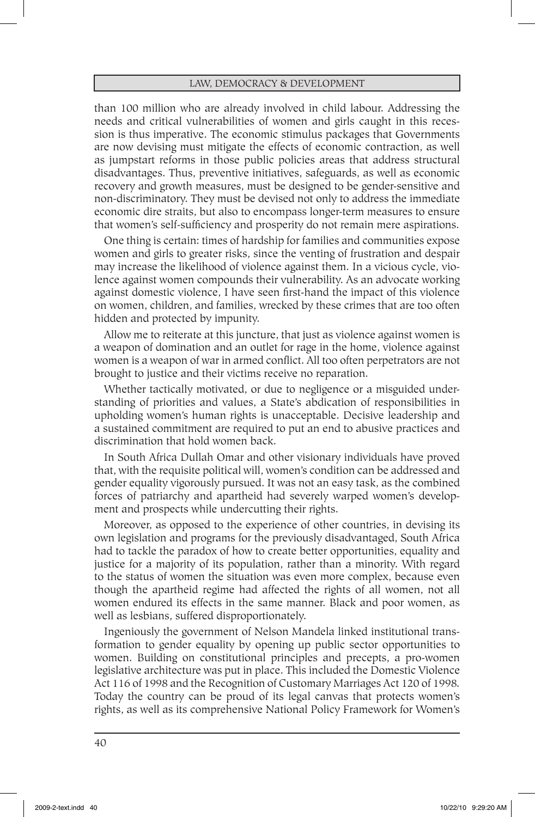than 100 million who are already involved in child labour. Addressing the needs and critical vulnerabilities of women and girls caught in this recession is thus imperative. The economic stimulus packages that Governments are now devising must mitigate the effects of economic contraction, as well as jumpstart reforms in those public policies areas that address structural disadvantages. Thus, preventive initiatives, safeguards, as well as economic recovery and growth measures, must be designed to be gender-sensitive and non-discriminatory. They must be devised not only to address the immediate economic dire straits, but also to encompass longer-term measures to ensure that women's self-sufficiency and prosperity do not remain mere aspirations.

One thing is certain: times of hardship for families and communities expose women and girls to greater risks, since the venting of frustration and despair may increase the likelihood of violence against them. In a vicious cycle, violence against women compounds their vulnerability. As an advocate working against domestic violence, I have seen first-hand the impact of this violence on women, children, and families, wrecked by these crimes that are too often hidden and protected by impunity.

Allow me to reiterate at this juncture, that just as violence against women is a weapon of domination and an outlet for rage in the home, violence against women is a weapon of war in armed conflict. All too often perpetrators are not brought to justice and their victims receive no reparation.

Whether tactically motivated, or due to negligence or a misguided understanding of priorities and values, a State's abdication of responsibilities in upholding women's human rights is unacceptable. Decisive leadership and a sustained commitment are required to put an end to abusive practices and discrimination that hold women back.

In South Africa Dullah Omar and other visionary individuals have proved that, with the requisite political will, women's condition can be addressed and gender equality vigorously pursued. It was not an easy task, as the combined forces of patriarchy and apartheid had severely warped women's development and prospects while undercutting their rights.

Moreover, as opposed to the experience of other countries, in devising its own legislation and programs for the previously disadvantaged, South Africa had to tackle the paradox of how to create better opportunities, equality and justice for a majority of its population, rather than a minority. With regard to the status of women the situation was even more complex, because even though the apartheid regime had affected the rights of all women, not all women endured its effects in the same manner. Black and poor women, as well as lesbians, suffered disproportionately.

Ingeniously the government of Nelson Mandela linked institutional transformation to gender equality by opening up public sector opportunities to women. Building on constitutional principles and precepts, a pro-women legislative architecture was put in place. This included the Domestic Violence Act 116 of 1998 and the Recognition of Customary Marriages Act 120 of 1998*.*  Today the country can be proud of its legal canvas that protects women's rights, as well as its comprehensive National Policy Framework for Women's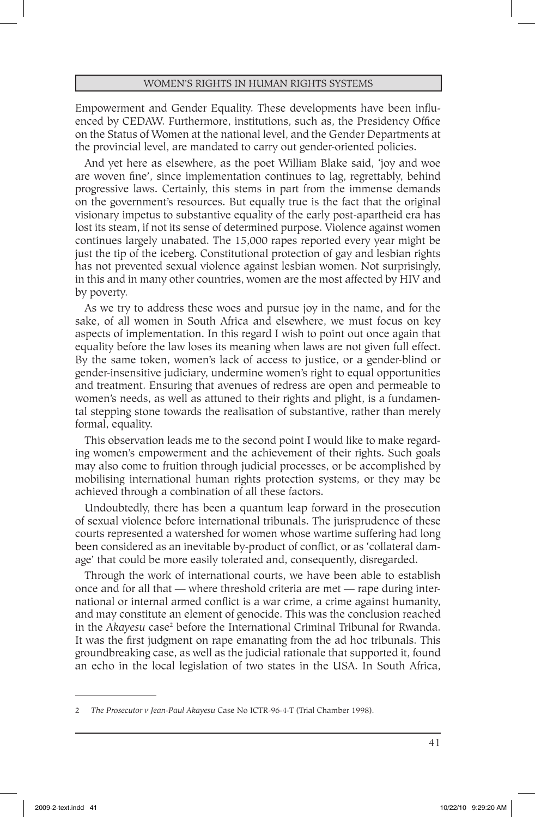Empowerment and Gender Equality. These developments have been influenced by CEDAW. Furthermore, institutions, such as, the Presidency Office on the Status of Women at the national level, and the Gender Departments at the provincial level, are mandated to carry out gender-oriented policies.

And yet here as elsewhere, as the poet William Blake said, 'joy and woe are woven fine', since implementation continues to lag, regrettably, behind progressive laws. Certainly, this stems in part from the immense demands on the government's resources. But equally true is the fact that the original visionary impetus to substantive equality of the early post-apartheid era has lost its steam, if not its sense of determined purpose. Violence against women continues largely unabated. The 15,000 rapes reported every year might be just the tip of the iceberg. Constitutional protection of gay and lesbian rights has not prevented sexual violence against lesbian women. Not surprisingly, in this and in many other countries, women are the most affected by HIV and by poverty.

As we try to address these woes and pursue joy in the name, and for the sake, of all women in South Africa and elsewhere, we must focus on key aspects of implementation. In this regard I wish to point out once again that equality before the law loses its meaning when laws are not given full effect. By the same token, women's lack of access to justice, or a gender-blind or gender-insensitive judiciary, undermine women's right to equal opportunities and treatment. Ensuring that avenues of redress are open and permeable to women's needs, as well as attuned to their rights and plight, is a fundamental stepping stone towards the realisation of substantive, rather than merely formal, equality.

This observation leads me to the second point I would like to make regarding women's empowerment and the achievement of their rights. Such goals may also come to fruition through judicial processes, or be accomplished by mobilising international human rights protection systems, or they may be achieved through a combination of all these factors.

Undoubtedly, there has been a quantum leap forward in the prosecution of sexual violence before international tribunals. The jurisprudence of these courts represented a watershed for women whose wartime suffering had long been considered as an inevitable by-product of conflict, or as 'collateral damage' that could be more easily tolerated and, consequently, disregarded.

Through the work of international courts, we have been able to establish once and for all that — where threshold criteria are met — rape during international or internal armed conflict is a war crime, a crime against humanity, and may constitute an element of genocide. This was the conclusion reached in the *Akayesu* case2 before the International Criminal Tribunal for Rwanda. It was the first judgment on rape emanating from the ad hoc tribunals. This groundbreaking case, as well as the judicial rationale that supported it, found an echo in the local legislation of two states in the USA. In South Africa,

<sup>2</sup> *The Prosecutor v Jean-Paul Akayesu* Case No ICTR-96-4-T (Trial Chamber 1998).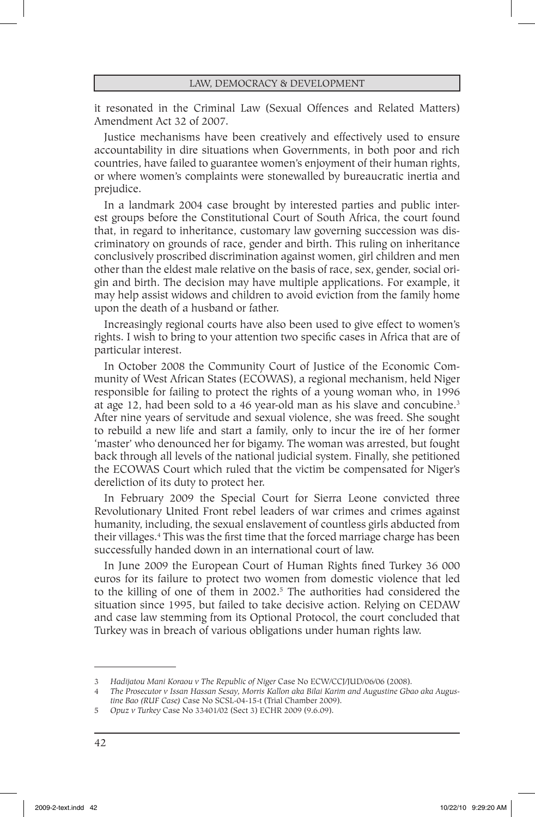it resonated in the Criminal Law (Sexual Offences and Related Matters) Amendment Act 32 of 2007.

Justice mechanisms have been creatively and effectively used to ensure accountability in dire situations when Governments, in both poor and rich countries, have failed to guarantee women's enjoyment of their human rights, or where women's complaints were stonewalled by bureaucratic inertia and prejudice.

In a landmark 2004 case brought by interested parties and public interest groups before the Constitutional Court of South Africa, the court found that, in regard to inheritance, customary law governing succession was discriminatory on grounds of race, gender and birth. This ruling on inheritance conclusively proscribed discrimination against women, girl children and men other than the eldest male relative on the basis of race, sex, gender, social origin and birth. The decision may have multiple applications. For example, it may help assist widows and children to avoid eviction from the family home upon the death of a husband or father.

Increasingly regional courts have also been used to give effect to women's rights. I wish to bring to your attention two specific cases in Africa that are of particular interest.

In October 2008 the Community Court of Justice of the Economic Community of West African States (ECOWAS), a regional mechanism, held Niger responsible for failing to protect the rights of a young woman who, in 1996 at age 12, had been sold to a 46 year-old man as his slave and concubine. $3$ After nine years of servitude and sexual violence, she was freed. She sought to rebuild a new life and start a family, only to incur the ire of her former 'master' who denounced her for bigamy. The woman was arrested, but fought back through all levels of the national judicial system. Finally, she petitioned the ECOWAS Court which ruled that the victim be compensated for Niger's dereliction of its duty to protect her.

In February 2009 the Special Court for Sierra Leone convicted three Revolutionary United Front rebel leaders of war crimes and crimes against humanity, including, the sexual enslavement of countless girls abducted from their villages.4 This was the first time that the forced marriage charge has been successfully handed down in an international court of law.

In June 2009 the European Court of Human Rights fined Turkey 36 000 euros for its failure to protect two women from domestic violence that led to the killing of one of them in 2002.<sup>5</sup> The authorities had considered the situation since 1995, but failed to take decisive action. Relying on CEDAW and case law stemming from its Optional Protocol, the court concluded that Turkey was in breach of various obligations under human rights law.

<sup>3</sup> *Hadijatou Mani Koraou v The Republic of Niger* Case No ECW/CCJ/JUD/06/06 (2008).

<sup>4</sup> *The Prosecutor v Issan Hassan Sesay, Morris Kallon aka Bilai Karim and Augustine Gbao aka Augustine Bao (RUF Case)* Case No SCSL-04-15-t (Trial Chamber 2009).

<sup>5</sup> *Opuz v Turkey* Case No 33401/02 (Sect 3) ECHR 2009 (9.6.09).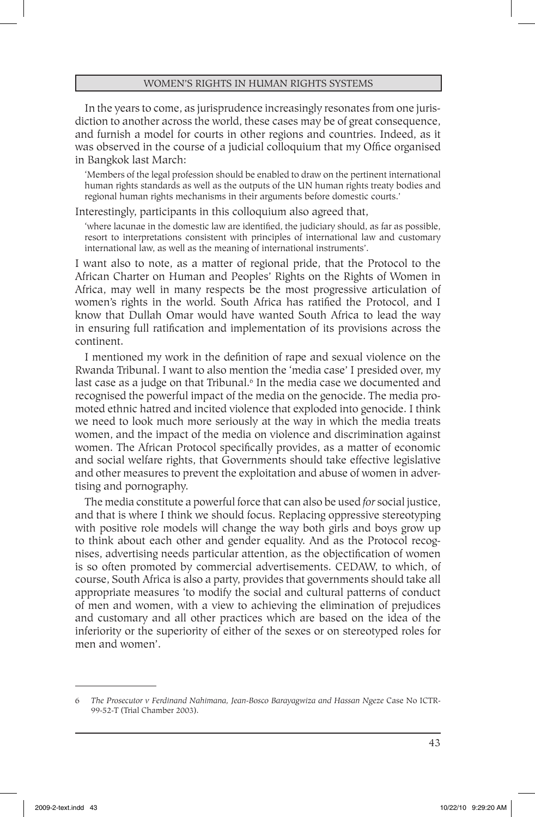In the years to come, as jurisprudence increasingly resonates from one jurisdiction to another across the world, these cases may be of great consequence, and furnish a model for courts in other regions and countries. Indeed, as it was observed in the course of a judicial colloquium that my Office organised in Bangkok last March:

'Members of the legal profession should be enabled to draw on the pertinent international human rights standards as well as the outputs of the UN human rights treaty bodies and regional human rights mechanisms in their arguments before domestic courts.'

Interestingly, participants in this colloquium also agreed that,

'where lacunae in the domestic law are identified, the judiciary should, as far as possible, resort to interpretations consistent with principles of international law and customary international law, as well as the meaning of international instruments'.

I want also to note, as a matter of regional pride, that the Protocol to the African Charter on Human and Peoples' Rights on the Rights of Women in Africa, may well in many respects be the most progressive articulation of women's rights in the world. South Africa has ratified the Protocol, and I know that Dullah Omar would have wanted South Africa to lead the way in ensuring full ratification and implementation of its provisions across the continent.

I mentioned my work in the definition of rape and sexual violence on the Rwanda Tribunal. I want to also mention the 'media case' I presided over, my last case as a judge on that Tribunal.<sup>6</sup> In the media case we documented and recognised the powerful impact of the media on the genocide. The media promoted ethnic hatred and incited violence that exploded into genocide. I think we need to look much more seriously at the way in which the media treats women, and the impact of the media on violence and discrimination against women. The African Protocol specifically provides, as a matter of economic and social welfare rights, that Governments should take effective legislative and other measures to prevent the exploitation and abuse of women in advertising and pornography.

The media constitute a powerful force that can also be used *for* social justice, and that is where I think we should focus. Replacing oppressive stereotyping with positive role models will change the way both girls and boys grow up to think about each other and gender equality. And as the Protocol recognises, advertising needs particular attention, as the objectification of women is so often promoted by commercial advertisements. CEDAW, to which, of course, South Africa is also a party, provides that governments should take all appropriate measures 'to modify the social and cultural patterns of conduct of men and women, with a view to achieving the elimination of prejudices and customary and all other practices which are based on the idea of the inferiority or the superiority of either of the sexes or on stereotyped roles for men and women'.

<sup>6</sup> *The Prosecutor v Ferdinand Nahimana, Jean-Bosco Barayagwiza and Hassan Ngeze* Case No ICTR-99-52-T (Trial Chamber 2003).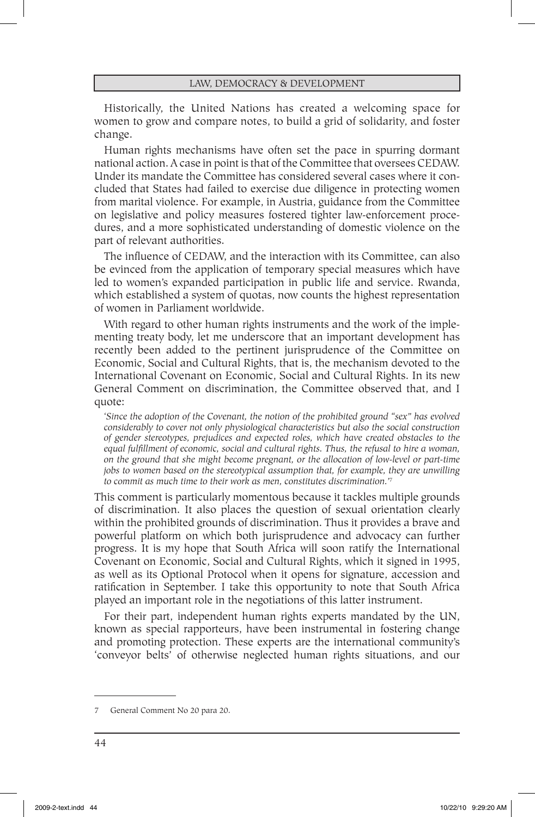Historically, the United Nations has created a welcoming space for women to grow and compare notes, to build a grid of solidarity, and foster change.

Human rights mechanisms have often set the pace in spurring dormant national action. A case in point is that of the Committee that oversees CEDAW. Under its mandate the Committee has considered several cases where it concluded that States had failed to exercise due diligence in protecting women from marital violence. For example, in Austria, guidance from the Committee on legislative and policy measures fostered tighter law-enforcement procedures, and a more sophisticated understanding of domestic violence on the part of relevant authorities.

The influence of CEDAW, and the interaction with its Committee, can also be evinced from the application of temporary special measures which have led to women's expanded participation in public life and service. Rwanda, which established a system of quotas, now counts the highest representation of women in Parliament worldwide.

With regard to other human rights instruments and the work of the implementing treaty body, let me underscore that an important development has recently been added to the pertinent jurisprudence of the Committee on Economic, Social and Cultural Rights, that is, the mechanism devoted to the International Covenant on Economic, Social and Cultural Rights. In its new General Comment on discrimination, the Committee observed that, and I quote:

'*Since the adoption of the Covenant, the notion of the prohibited ground "sex" has evolved considerably to cover not only physiological characteristics but also the social construction of gender stereotypes, prejudices and expected roles, which have created obstacles to the equal fulfillment of economic, social and cultural rights. Thus, the refusal to hire a woman, on the ground that she might become pregnant, or the allocation of low-level or part-time jobs to women based on the stereotypical assumption that, for example, they are unwilling to commit as much time to their work as men, constitutes discrimination.'*<sup>7</sup>

This comment is particularly momentous because it tackles multiple grounds of discrimination. It also places the question of sexual orientation clearly within the prohibited grounds of discrimination. Thus it provides a brave and powerful platform on which both jurisprudence and advocacy can further progress. It is my hope that South Africa will soon ratify the International Covenant on Economic, Social and Cultural Rights, which it signed in 1995, as well as its Optional Protocol when it opens for signature, accession and ratification in September. I take this opportunity to note that South Africa played an important role in the negotiations of this latter instrument.

For their part, independent human rights experts mandated by the UN, known as special rapporteurs, have been instrumental in fostering change and promoting protection. These experts are the international community's 'conveyor belts' of otherwise neglected human rights situations, and our

<sup>7</sup> General Comment No 20 para 20.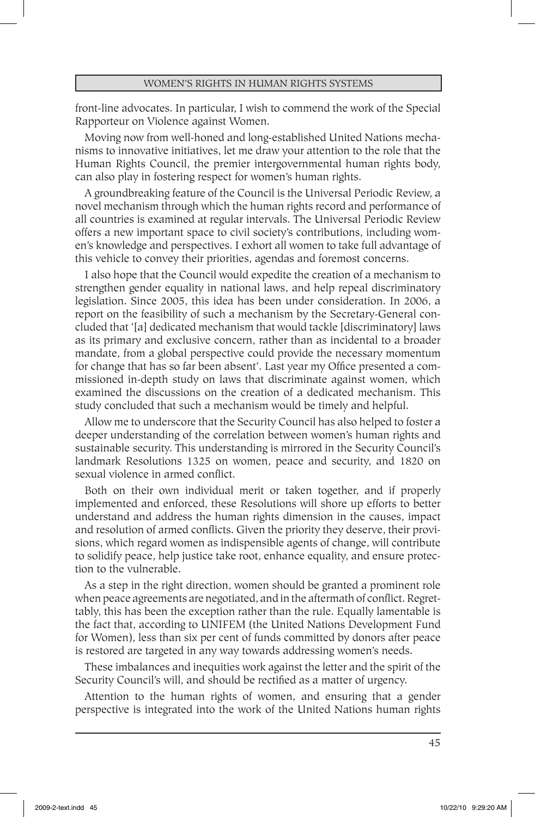front-line advocates. In particular, I wish to commend the work of the Special Rapporteur on Violence against Women.

Moving now from well-honed and long-established United Nations mechanisms to innovative initiatives, let me draw your attention to the role that the Human Rights Council, the premier intergovernmental human rights body, can also play in fostering respect for women's human rights.

A groundbreaking feature of the Council is the Universal Periodic Review, a novel mechanism through which the human rights record and performance of all countries is examined at regular intervals. The Universal Periodic Review offers a new important space to civil society's contributions, including women's knowledge and perspectives. I exhort all women to take full advantage of this vehicle to convey their priorities, agendas and foremost concerns.

I also hope that the Council would expedite the creation of a mechanism to strengthen gender equality in national laws, and help repeal discriminatory legislation. Since 2005, this idea has been under consideration. In 2006, a report on the feasibility of such a mechanism by the Secretary-General concluded that '[a] dedicated mechanism that would tackle [discriminatory] laws as its primary and exclusive concern, rather than as incidental to a broader mandate, from a global perspective could provide the necessary momentum for change that has so far been absent'. Last year my Office presented a commissioned in-depth study on laws that discriminate against women, which examined the discussions on the creation of a dedicated mechanism. This study concluded that such a mechanism would be timely and helpful.

Allow me to underscore that the Security Council has also helped to foster a deeper understanding of the correlation between women's human rights and sustainable security. This understanding is mirrored in the Security Council's landmark Resolutions 1325 on women, peace and security, and 1820 on sexual violence in armed conflict.

Both on their own individual merit or taken together, and if properly implemented and enforced, these Resolutions will shore up efforts to better understand and address the human rights dimension in the causes, impact and resolution of armed conflicts. Given the priority they deserve, their provisions, which regard women as indispensible agents of change, will contribute to solidify peace, help justice take root, enhance equality, and ensure protection to the vulnerable.

As a step in the right direction, women should be granted a prominent role when peace agreements are negotiated, and in the aftermath of conflict. Regrettably, this has been the exception rather than the rule. Equally lamentable is the fact that, according to UNIFEM (the United Nations Development Fund for Women), less than six per cent of funds committed by donors after peace is restored are targeted in any way towards addressing women's needs.

These imbalances and inequities work against the letter and the spirit of the Security Council's will, and should be rectified as a matter of urgency.

Attention to the human rights of women, and ensuring that a gender perspective is integrated into the work of the United Nations human rights